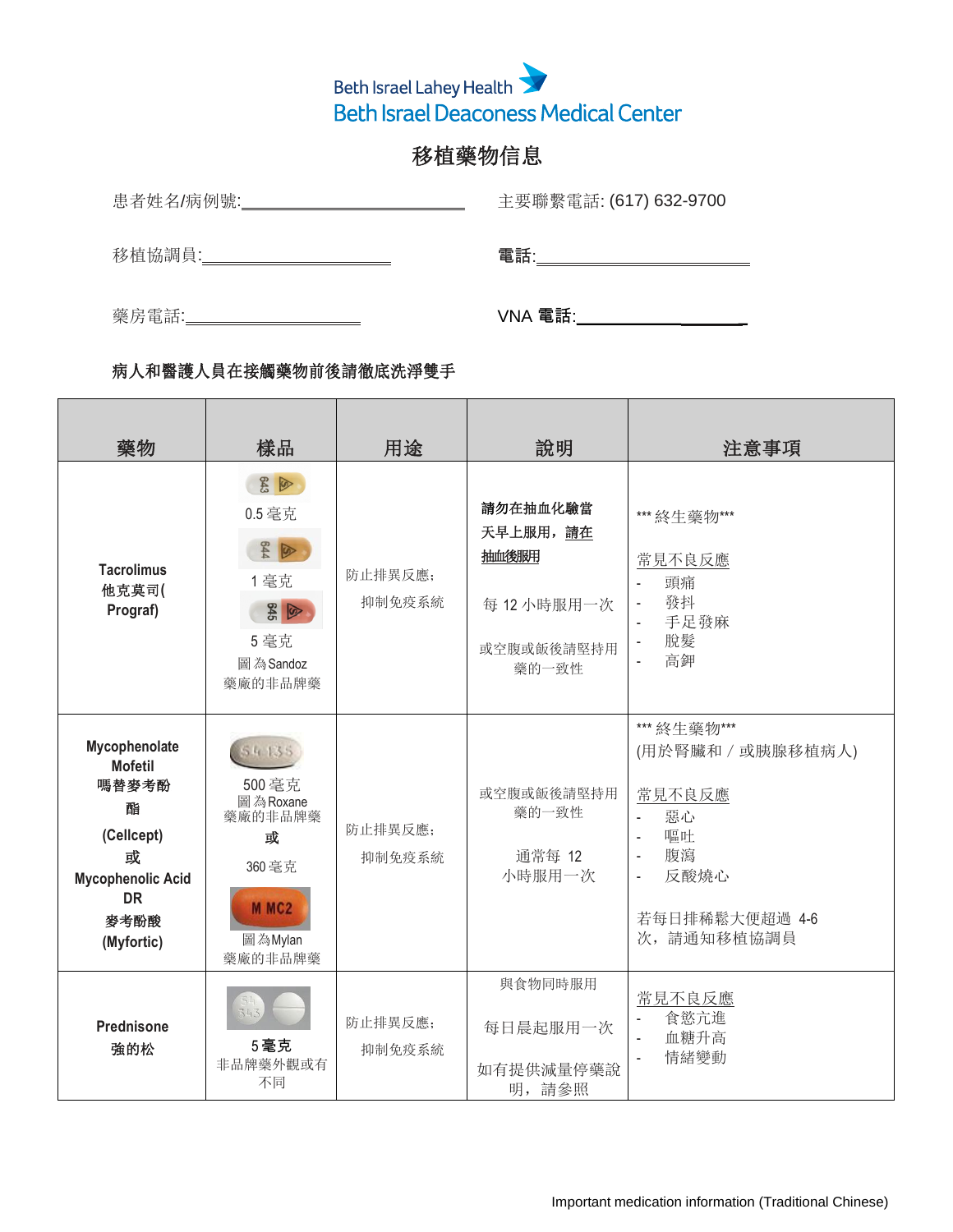

## 移植藥物信息

患者姓名/病例號: \_\_\_\_\_\_\_\_\_\_\_\_\_\_\_\_\_\_\_\_\_\_\_\_\_\_\_\_\_\_\_\_ 主要聯繫電話: (617) 632-9700

**移植協調員: スペント エンストランス 電話: エントランス 電話: その** 

藥房電話: VNA 電話:

## 樣品 說明 藥物 用途 注意事項  $\mathbb{R}^n$  $843$ 請勿在抽血化驗當 0.5 毫克 \*\*\* 終生藥物\*\*\* 天早上服用,請在  $644$ 抽血後服用 常見不良反應 **Tacrolimus** 防止排異反應; 1 毫克 - 頭痛 他克莫司**(** 抑制免疫系統 - 發抖 每 12 小時服用一次  $\frac{1}{2}$ **Prograf)** - 手足發麻 5 毫克 - 脫髮 或空腹或飯後請堅持用 - 高鉀 圖為Sandoz 藥的一致性 藥廠的非品牌藥  $\mathbb{R}^2$ \*\*\* 終生藥物\*\*\* **Mycophenolate** 54135 (用於腎臟和/或胰腺移植病人) **Mofetil**  $\mathbb{R}^2$ 嗎替麥考酚 500 毫克 或空腹或飯後請堅持用 常見不良反應 圖為Roxane 酯 藥的一致性 - 惡心 藥廠的非品牌藥 防止排異反應; **(Cellcept)** - 嘔吐 或 - 腹瀉 或 通常每 12 抑制免疫系統 360毫克 - 反酸燒心 小時服用一次 **Mycophenolic Acid**  $\mathbb{R}$ **DR**  $\mathbb{R}^2$ M<sub>MC2</sub> 若每日排稀鬆大便超過 4-6 麥考酚酸 次,請通知移植協調員 圖為Mylan **(Myfortic)** 藥廠的非品牌藥 與食物同時服用  $\mathbb{R}^2$ 常見不良反應 - 食慾亢進 防止排異反應; **Prednisone** 每日晨起服用一次 - 血糖升高 5 毫克 強的松 抑制免疫系統 - 情緒變動非品牌藥外觀或有 如有提供減量停藥說 不同 明,請參照

## 病人和醫護人員在接觸藥物前後請徹底洗淨雙手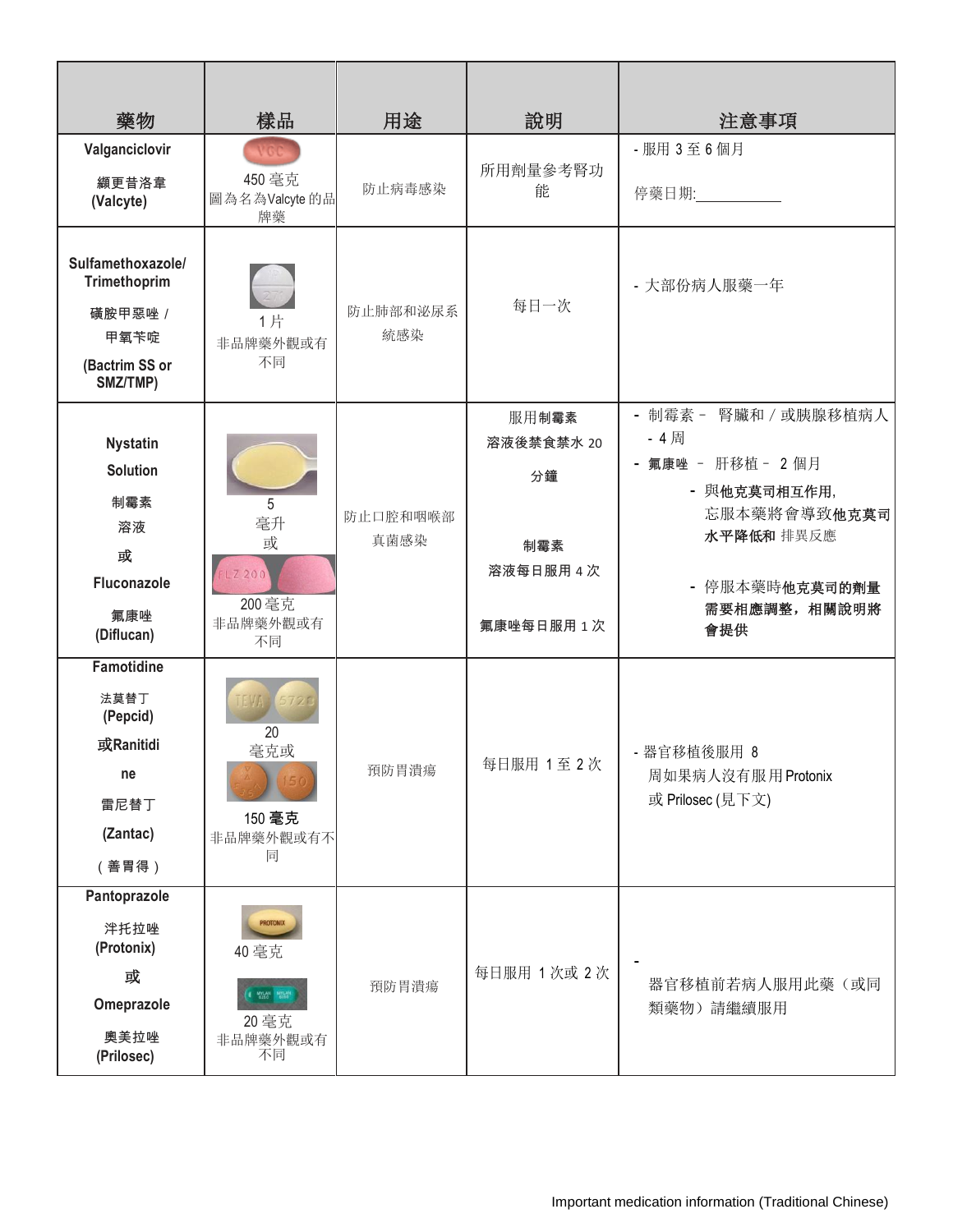| 藥物                                                                                    | 樣品                                                                   | 用途               | 說明                               | 注意事項                                                                |
|---------------------------------------------------------------------------------------|----------------------------------------------------------------------|------------------|----------------------------------|---------------------------------------------------------------------|
| Valganciclovir<br>纈更昔洛韋<br>(Valcyte)                                                  | VGC.<br>450 毫克<br>圖為名為Valcyte的品<br>牌藥                                | 防止病毒感染           | 所用劑量參考腎功<br>能                    | - 服用 3 至 6 個月<br>停藥日期: 2000年 第2章 第2章 第2章 第2章 第2章 第2章 第2章 第2章 第2章    |
| Sulfamethoxazole/<br>Trimethoprim<br>磺胺甲惡唑 /<br>甲氧苄啶<br>(Bactrim SS or<br>SMZ/TMP)    | 1片<br>非品牌藥外觀或有<br>不同                                                 | 防止肺部和泌尿系<br>統感染  | 每日一次                             | - 大部份病人服藥一年                                                         |
| <b>Nystatin</b><br><b>Solution</b><br>制霉素                                             | 5                                                                    |                  | 服用制霉素<br>溶液後禁食禁水 20<br>分鐘        | - 制霉素- 腎臟和 / 或胰腺移植病人<br>- 4周<br>- 氟康唑 - 肝移植 - 2個月<br>- 與他克莫司相互作用,   |
| 溶液<br>或<br>Fluconazole<br>氟康唑<br>(Diflucan)                                           | 毫升<br>或<br>LZ 200<br>200 毫克<br>非品牌藥外觀或有<br>不同                        | 防止口腔和咽喉部<br>真菌感染 | 制霉素<br>溶液每日服用 4 次<br>氟康唑每日服用 1 次 | 忘服本藥將會導致他克莫司<br>水平降低和 排異反應<br>- 停服本藥時他克莫司的劑量<br>需要相應調整,相關說明將<br>會提供 |
| <b>Famotidine</b><br>法莫替丁<br>(Pepcid)<br>或Ranitidi<br>ne<br>雷尼替丁<br>(Zantac)<br>(善胃得) | 20<br>毫克或<br>150 毫克<br>非品牌藥外觀或有不<br>同                                | 預防胃潰瘍            | 每日服用 1至 2次                       | - 器官移植後服用 8<br>周如果病人沒有服用 Protonix<br>或 Prilosec (見下文)               |
| Pantoprazole<br>泮托拉唑<br>(Protonix)<br>或<br>Omeprazole<br>奧美拉唑<br>(Prilosec)           | <b>PROTONIX</b><br>40 毫克<br>I MYLAN MYLAN<br>20 毫克<br>非品牌藥外觀或有<br>不同 | 預防胃潰瘍            | 每日服用 1次或 2次                      | 器官移植前若病人服用此藥(或同<br>類藥物)請繼續服用                                        |